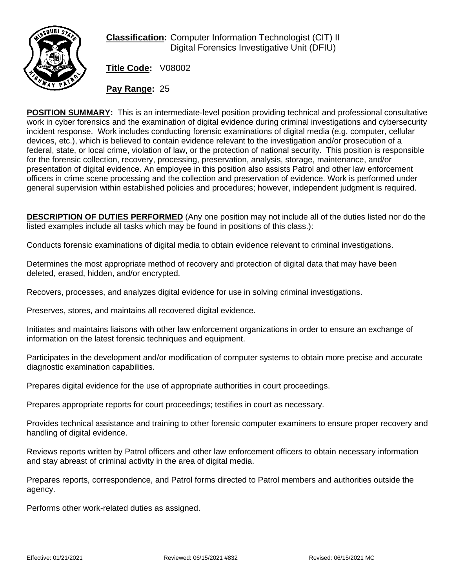

**Classification:** Computer Information Technologist (CIT) II Digital Forensics Investigative Unit (DFIU)

**Title Code:** V08002

**Pay Range:** 25

**POSITION SUMMARY:** This is an intermediate-level position providing technical and professional consultative work in cyber forensics and the examination of digital evidence during criminal investigations and cybersecurity incident response. Work includes conducting forensic examinations of digital media (e.g. computer, cellular devices, etc.), which is believed to contain evidence relevant to the investigation and/or prosecution of a federal, state, or local crime, violation of law, or the protection of national security. This position is responsible for the forensic collection, recovery, processing, preservation, analysis, storage, maintenance, and/or presentation of digital evidence. An employee in this position also assists Patrol and other law enforcement officers in crime scene processing and the collection and preservation of evidence. Work is performed under general supervision within established policies and procedures; however, independent judgment is required.

**DESCRIPTION OF DUTIES PERFORMED** (Any one position may not include all of the duties listed nor do the listed examples include all tasks which may be found in positions of this class.):

Conducts forensic examinations of digital media to obtain evidence relevant to criminal investigations.

Determines the most appropriate method of recovery and protection of digital data that may have been deleted, erased, hidden, and/or encrypted.

Recovers, processes, and analyzes digital evidence for use in solving criminal investigations.

Preserves, stores, and maintains all recovered digital evidence.

Initiates and maintains liaisons with other law enforcement organizations in order to ensure an exchange of information on the latest forensic techniques and equipment.

Participates in the development and/or modification of computer systems to obtain more precise and accurate diagnostic examination capabilities.

Prepares digital evidence for the use of appropriate authorities in court proceedings.

Prepares appropriate reports for court proceedings; testifies in court as necessary.

Provides technical assistance and training to other forensic computer examiners to ensure proper recovery and handling of digital evidence.

Reviews reports written by Patrol officers and other law enforcement officers to obtain necessary information and stay abreast of criminal activity in the area of digital media.

Prepares reports, correspondence, and Patrol forms directed to Patrol members and authorities outside the agency.

Performs other work-related duties as assigned.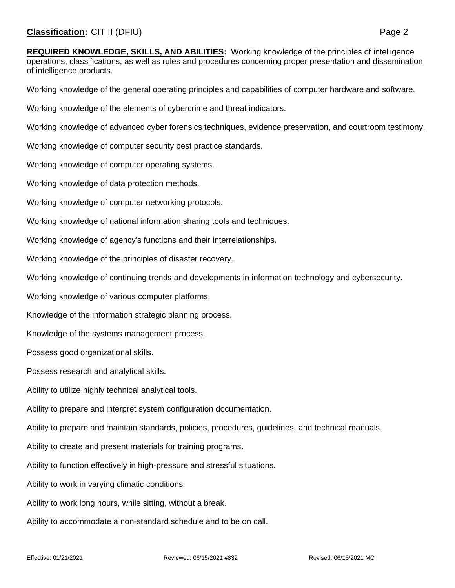**REQUIRED KNOWLEDGE, SKILLS, AND ABILITIES:** Working knowledge of the principles of intelligence operations, classifications, as well as rules and procedures concerning proper presentation and dissemination of intelligence products.

Working knowledge of the general operating principles and capabilities of computer hardware and software.

Working knowledge of the elements of cybercrime and threat indicators.

Working knowledge of advanced cyber forensics techniques, evidence preservation, and courtroom testimony.

Working knowledge of computer security best practice standards.

Working knowledge of computer operating systems.

Working knowledge of data protection methods.

Working knowledge of computer networking protocols.

Working knowledge of national information sharing tools and techniques.

Working knowledge of agency's functions and their interrelationships.

Working knowledge of the principles of disaster recovery.

Working knowledge of continuing trends and developments in information technology and cybersecurity.

Working knowledge of various computer platforms.

Knowledge of the information strategic planning process.

Knowledge of the systems management process.

Possess good organizational skills.

Possess research and analytical skills.

Ability to utilize highly technical analytical tools.

Ability to prepare and interpret system configuration documentation.

Ability to prepare and maintain standards, policies, procedures, guidelines, and technical manuals.

Ability to create and present materials for training programs.

Ability to function effectively in high-pressure and stressful situations.

Ability to work in varying climatic conditions.

Ability to work long hours, while sitting, without a break.

Ability to accommodate a non-standard schedule and to be on call.